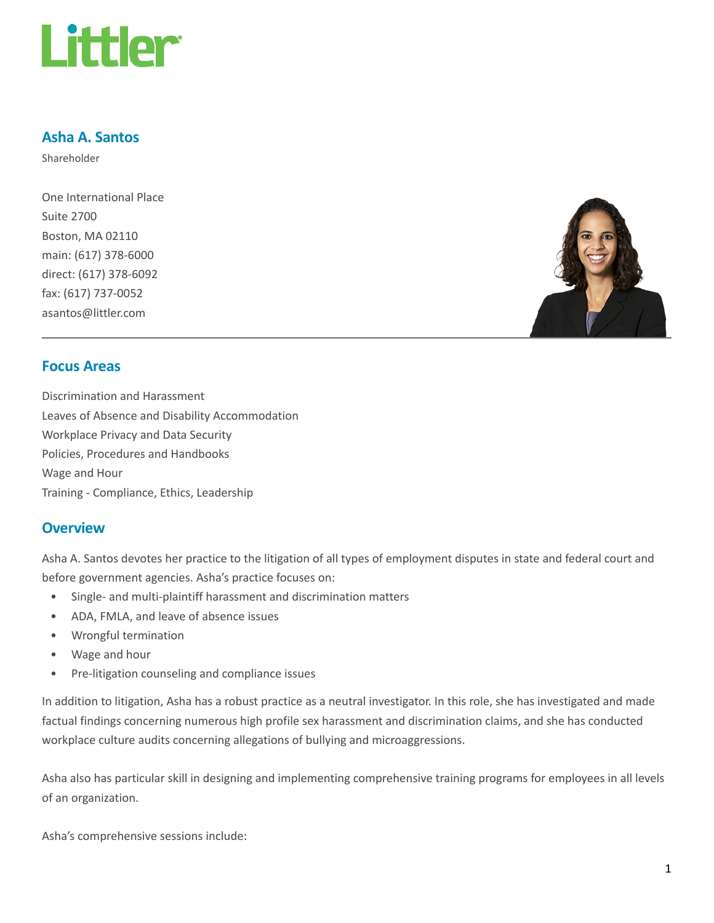

### Asha A. Santos

Shareholder

One International Place Suite 2700 Boston, MA 02110 main: (617) 378-6000 direct: (617) 378-6092 fax: (617) 737-0052 asantos@littler.com



### Focus Areas

Discrimination and Harassment Leaves of Absence and Disability Accommodation Workplace Privacy and Data Security Policies, Procedures and Handbooks Wage and Hour Training - Compliance, Ethics, Leadership

#### **Overview**

Asha A. Santos devotes her practice to the litigation of all types of employment disputes in state and federal court and before government agencies. Asha's practice focuses on:

- Single- and multi-plaintiff harassment and discrimination matters
- ADA, FMLA, and leave of absence issues
- Wrongful termination
- Wage and hour
- Pre-litigation counseling and compliance issues

In addition to litigation, Asha has a robust practice as a neutral investigator. In this role, she has investigated and made factual findings concerning numerous high profile sex harassment and discrimination claims, and she has conducted workplace culture audits concerning allegations of bullying and microaggressions.

Asha also has particular skill in designing and implementing comprehensive training programs for employees in all levels of an organization.

Asha's comprehensive sessions include: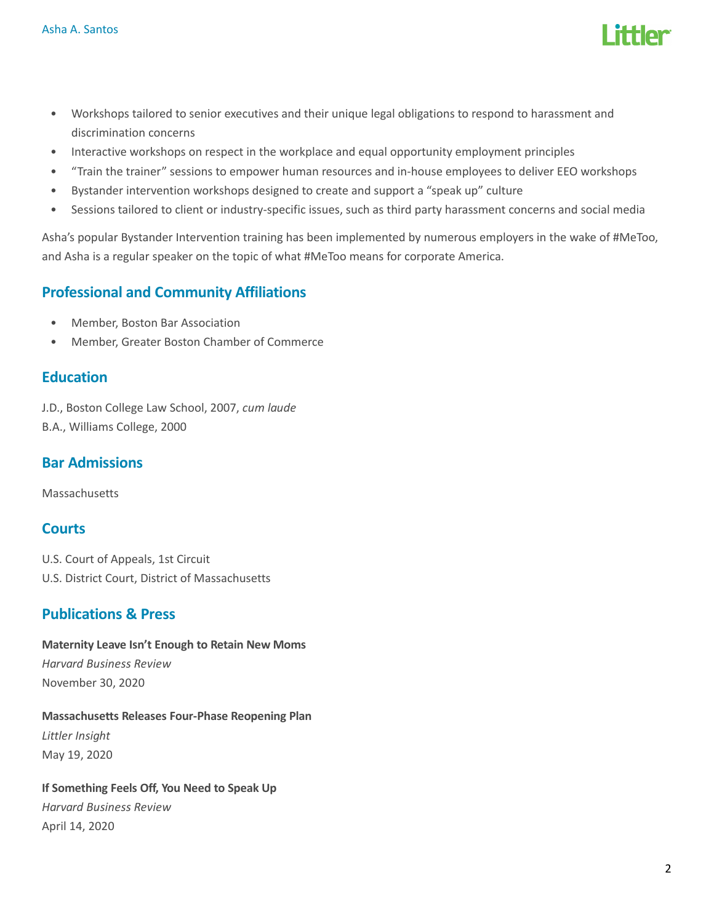

- Workshops tailored to senior executives and their unique legal obligations to respond to harassment and discrimination concerns
- Interactive workshops on respect in the workplace and equal opportunity employment principles
- "Train the trainer" sessions to empower human resources and in-house employees to deliver EEO workshops
- Bystander intervention workshops designed to create and support a "speak up" culture
- Sessions tailored to client or industry-specific issues, such as third party harassment concerns and social media

Asha's popular Bystander Intervention training has been implemented by numerous employers in the wake of #MeToo, and Asha is a regular speaker on the topic of what #MeToo means for corporate America.

# Professional and Community Affiliations

- Member, Boston Bar Association
- Member, Greater Boston Chamber of Commerce

# **Education**

J.D., Boston College Law School, 2007, cum laude B.A., Williams College, 2000

## Bar Admissions

**Massachusetts** 

# **Courts**

U.S. Court of Appeals, 1st Circuit U.S. District Court, District of Massachusetts

# Publications & Press

Maternity Leave Isn't Enough to Retain New Moms Harvard Business Review November 30, 2020

Massachusetts Releases Four-Phase Reopening Plan Littler Insight May 19, 2020

If Something Feels Off, You Need to Speak Up Harvard Business Review April 14, 2020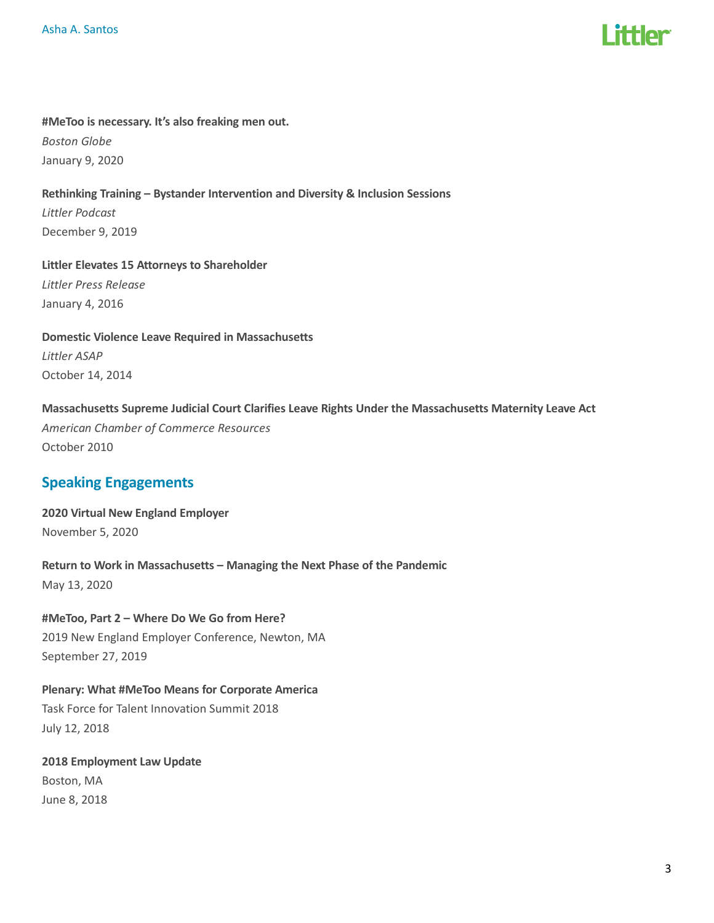

### #MeToo is necessary. It's also freaking men out. Boston Globe January 9, 2020

Rethinking Training – Bystander Intervention and Diversity & Inclusion Sessions Littler Podcast December 9, 2019

Littler Elevates 15 Attorneys to Shareholder Littler Press Release January 4, 2016

Domestic Violence Leave Required in Massachusetts Littler ASAP October 14, 2014

Massachusetts Supreme Judicial Court Clarifies Leave Rights Under the Massachusetts Maternity Leave Act American Chamber of Commerce Resources October 2010

# Speaking Engagements

2020 Virtual New England Employer November 5, 2020

Return to Work in Massachusetts – Managing the Next Phase of the Pandemic May 13, 2020

#MeToo, Part 2 – Where Do We Go from Here? 2019 New England Employer Conference, Newton, MA September 27, 2019

Plenary: What #MeToo Means for Corporate America Task Force for Talent Innovation Summit 2018 July 12, 2018

2018 Employment Law Update Boston, MA June 8, 2018